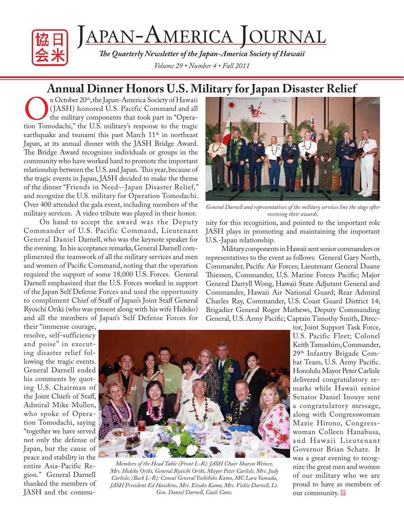

# JAPAN-AMERICA JOURNAL

*The Quarterly Newsletter of the Japan-America Society of Hawaii Volume 29 • Number 4 • Fall 2011*

## **Annual Dinner Honors U.S. Military for Japan Disaster Relief**

On October 20<sup>th</sup>, the Japan-America Society of Hawaii (JASH) honored U.S. Pacific Command and all the military components that took part in "Operation Tomodachi," the U.S. military's response to the tragic ( JASH) honored U.S. Pacific Command and all the military components that took part in "Operaearthquake and tsunami this past March  $11<sup>th</sup>$  in northeast Japan, at its annual dinner with the JASH Bridge Award. The Bridge Award recognizes individuals or groups in the community who have worked hard to promote the important relationship between the U.S. and Japan. This year, because of the tragic events in Japan, JASH decided to make the theme of the dinner "Friends in Need--Japan Disaster Relief," and recognize the U.S. military for Operation Tomodachi. Over 400 attended the gala event, including members of the military services. A video tribute was played in their honor.

On hand to accept the award was the Deputy Commander of U.S. Pacific Command, Lieutenant General Daniel Darnell, who was the keynote speaker for the evening. In his acceptance remarks, General Darnell complimented the teamwork of all the military services and men and women of Pacific Command, noting that the operation required the support of some 18,000 U.S. Forces. General Darnell emphasized that the U.S. Forces worked in support of the Japan Self Defense Forces and used the opportunity to compliment Chief of Staff of Japan's Joint Staff General Ryoichi Oriki (who was present along with his wife Hideko) and all the members of Japan's Self Defense Forces for



*General Darnell and representatives of the military services line the stage after receiving their awards.*

nity for this recognition, and pointed to the important role JASH plays in promoting and maintaining the important U.S.-Japan relationship.

Military components in Hawaii sent senior commanders or representatives to the event as follows: General Gary North, Commander, Pacific Air Forces; Lieutenant General Duane Thiessen, Commander, U.S. Marine Forces Pacific; Major General Darryll Wong, Hawaii State Adjutant General and Commander, Hawaii Air National Guard; Rear Admiral Charles Ray, Commander, U.S. Coast Guard District 14; Brigadier General Roger Mathews, Deputy Commanding General, U.S. Army Pacific; Captain Timothy Smith, Direc-

their "immense courage, resolve, self-sufficiency and poise" in executing disaster relief following the tragic events. General Darnell ended his comments by quoting U.S. Chairman of the Joint Chiefs of Staff, Admiral Mike Mullen, who spoke of Operation Tomodachi, saying "together we have served not only the defense of Japan, but the cause of peace and stability in the entire Asia-Pacific Region." General Darnell thanked the members of JASH and the commu-



*Members of the Head Table (Front L-R): JASH Chair Sharon Weiner, Mrs. Hideko Oriki, General Ryoichi Oriki, Mayor Peter Carlisle, Mrs. Judy Carlisle; (Back L-R): Consul General Yoshihiko Kamo, MC Lara Yamada, JASH President Ed Hawkins, Mrs. Etsuko Kamo, Mrs. Vickie Darnell, Lt. Gen. Daniel Darnell, Caoli Cano.*

tor, Joint Support Task Force, U.S. Pacific Fleet; Colonel Keith Tamashiro, Commander, 29th Infantry Brigade Combat Team, U.S. Army Pacific. Honolulu Mayor Peter Carlisle delivered congratulatory remarks while Hawaii senior Senator Daniel Inouye sent a congratulatory message, along with Congresswoman Mazie Hirono, Congresswoman Colleen Hanabusa, and Hawaii Lieutenant Governor Brian Schatz. It was a great evening to recognize the great men and women of our military who we are proud to have as members of our community.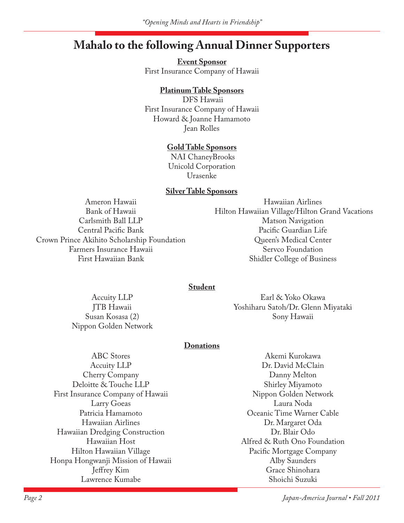### **Mahalo to the following Annual Dinner Supporters**

**Event Sponsor** First Insurance Company of Hawaii

### **Platinum Table Sponsors**

 DFS Hawaii First Insurance Company of Hawaii Howard & Joanne Hamamoto Jean Rolles

#### **Gold Table Sponsors**

 NAI ChaneyBrooks Unicold Corporation Urasenke

#### **Silver Table Sponsors**

Ameron Hawaii Bank of Hawaii Carlsmith Ball LLP Central Pacific Bank Crown Prince Akihito Scholarship Foundation Farmers Insurance Hawaii First Hawaiian Bank

Hawaiian Airlines Hilton Hawaiian Village/Hilton Grand Vacations Matson Navigation Pacific Guardian Life Queen's Medical Center Servco Foundation Shidler College of Business

#### **Student**

Accuity LLP JTB Hawaii Susan Kosasa (2) Nippon Golden Network

Earl & Yoko Okawa Yoshiharu Satoh/Dr. Glenn Miyataki Sony Hawaii

#### **Donations**

ABC Stores Accuity LLP Cherry Company Deloitte & Touche LLP First Insurance Company of Hawaii Larry Goeas Patricia Hamamoto Hawaiian Airlines Hawaiian Dredging Construction Hawaiian Host Hilton Hawaiian Village Honpa Hongwanji Mission of Hawaii Jeffrey Kim Lawrence Kumabe

Akemi Kurokawa Dr. David McClain Danny Melton Shirley Miyamoto Nippon Golden Network Laura Noda Oceanic Time Warner Cable Dr. Margaret Oda Dr. Blair Odo Alfred & Ruth Ono Foundation Pacific Mortgage Company Alby Saunders Grace Shinohara Shoichi Suzuki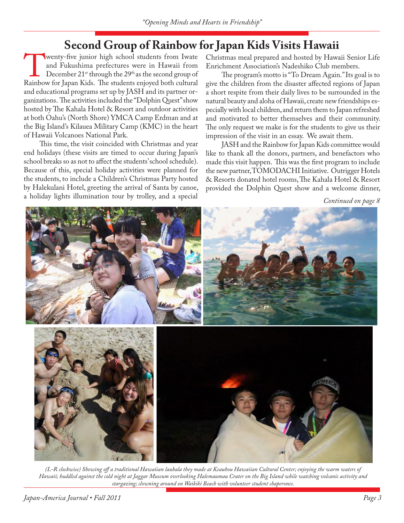## **Second Group of Rainbow for Japan Kids Visits Hawaii**<br>Wenty-five junior high school students from Iwate Christmas meal prepared and hosted by Hawa

wenty-five junior high school students from Iwate<br>
and Fukushima prefectures were in Hawaii from<br>
December 21<sup>st</sup> through the 29<sup>th</sup> as the second group of<br>
Rainbow for Japan Kids. The students enjoyed both cultural and Fukushima prefectures were in Hawaii from December  $21^{st}$  through the  $29^{th}$  as the second group of and educational programs set up by JASH and its partner organizations. The activities included the "Dolphin Quest" show hosted by The Kahala Hotel & Resort and outdoor activities at both Oahu's (North Shore) YMCA Camp Erdman and at the Big Island's Kilauea Military Camp (KMC) in the heart of Hawaii Volcanoes National Park.

This time, the visit coincided with Christmas and year end holidays (these visits are timed to occur during Japan's school breaks so as not to affect the students' school schedule). Because of this, special holiday activities were planned for the students, to include a Children's Christmas Party hosted by Halekulani Hotel, greeting the arrival of Santa by canoe, a holiday lights illumination tour by trolley, and a special

Christmas meal prepared and hosted by Hawaii Senior Life Enrichment Association's Nadeshiko Club members.

The program's motto is "To Dream Again." Its goal is to give the children from the disaster affected regions of Japan a short respite from their daily lives to be surrounded in the natural beauty and aloha of Hawaii, create new friendships especially with local children, and return them to Japan refreshed and motivated to better themselves and their community. The only request we make is for the students to give us their impression of the visit in an essay. We await them.

JASH and the Rainbow for Japan Kids committee would like to thank all the donors, partners, and benefactors who made this visit happen. This was the first program to include the new partner, TOMODACHI Initiative. Outrigger Hotels & Resorts donated hotel rooms, The Kahala Hotel & Resort provided the Dolphin Quest show and a welcome dinner,

*Continued on page 8*



*(L-R clockwise) Showing off a traditional Hawaiian lauhala they made at Keauhou Hawaiian Cultural Center; enjoying the warm waters of Hawaii; huddled against the cold night at Jaggar Museum overlooking Halemaumau Crater on the Big Island while watching volcanic activity and stargazing; clowning around on Waikiki Beach with volunteer student chaperones.*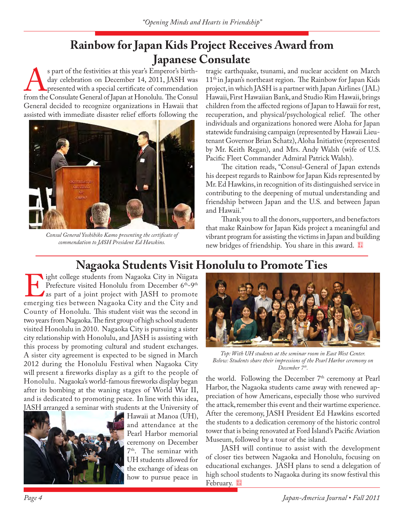## **Rainbow for Japan Kids Project Receives Award from Japanese Consulate**<br>s part of the festivities at this year's Emperor's birth-<br>tragic earthqua

S part of the festivities at this year's Emperor's birth-<br>day celebration on December 14, 2011, JASH was<br>presented with a special certificate of commendation<br>from the Consulate General of Japan at Honolulu. The Consul day celebration on December 14, 2011, JASH was presented with a special certificate of commendation General decided to recognize organizations in Hawaii that assisted with immediate disaster relief efforts following the



*Consul General Yoshihiko Kamo presenting the certificate of commendation to JASH President Ed Hawkins.*

tragic earthquake, tsunami, and nuclear accident on March 11<sup>th</sup> in Japan's northeast region. The Rainbow for Japan Kids project, in which JASH is a partner with Japan Airlines ( JAL) Hawaii, First Hawaiian Bank, and Studio Rim Hawaii, brings children from the affected regions of Japan to Hawaii for rest, recuperation, and physical/psychological relief. The other individuals and organizations honored were Aloha for Japan statewide fundraising campaign (represented by Hawaii Lieutenant Governor Brian Schatz), Aloha Initiative (represented by Mr. Keith Regan), and Mrs. Andy Walsh (wife of U.S. Pacific Fleet Commander Admiral Patrick Walsh).

The citation reads, "Consul-General of Japan extends his deepest regards to Rainbow for Japan Kids represented by Mr. Ed Hawkins, in recognition of its distinguished service in contributing to the deepening of mutual understanding and friendship between Japan and the U.S. and between Japan and Hawaii."

Thank you to all the donors, supporters, and benefactors that make Rainbow for Japan Kids project a meaningful and vibrant program for assisting the victims in Japan and building new bridges of friendship. You share in this award.

## **Nagaoka Students Visit Honolulu to Promote Ties**<br> **Nagaoka Students City in Nigata**

If ight college students from Nagaoka City in Niigata<br>
Prefecture visited Honolulu from December 6<sup>th</sup>-9<sup>th</sup><br>
as part of a joint project with JASH to promote<br>
emerging ties between Nagaoka City and the City and Prefecture visited Honolulu from December 6<sup>th</sup>-9<sup>th</sup> As part of a joint project with JASH to promote County of Honolulu. This student visit was the second in two years from Nagaoka. The first group of high school students visited Honolulu in 2010. Nagaoka City is pursuing a sister city relationship with Honolulu, and JASH is assisting with this process by promoting cultural and student exchanges. A sister city agreement is expected to be signed in March 2012 during the Honolulu Festival when Nagaoka City will present a fireworks display as a gift to the people of Honolulu. Nagaoka's world-famous fireworks display began after its bombing at the waning stages of World War II, and is dedicated to promoting peace. In line with this idea, JASH arranged a seminar with students at the University of



Hawaii at Manoa (UH), and attendance at the Pearl Harbor memorial ceremony on December 7th. The seminar with UH students allowed for the exchange of ideas on how to pursue peace in



*Top: With UH students at the seminar room in East West Center. Below: Students share their impressions of the Pearl Harbor ceremony on December 7th.*

the world. Following the December  $7<sup>th</sup>$  ceremony at Pearl Harbor, the Nagaoka students came away with renewed appreciation of how Americans, especially those who survived the attack, remember this event and their wartime experience. After the ceremony, JASH President Ed Hawkins escorted the students to a dedication ceremony of the historic control tower that is being renovated at Ford Island's Pacific Aviation Museum, followed by a tour of the island.

JASH will continue to assist with the development of closer ties between Nagaoka and Honolulu, focusing on educational exchanges. JASH plans to send a delegation of high school students to Nagaoka during its snow festival this February.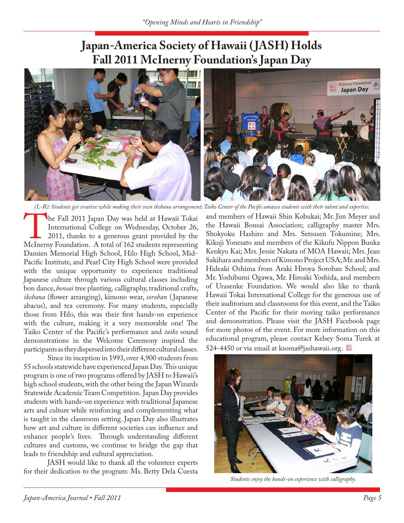### **Japan-America Society of Hawaii ( JASH) Holds Fall 2011 McInerny Foundation's Japan Day**



*(L-R): Students get creative while making their own ikebana arrangement; Taiko Center of the Pacific amazes students with their talent and expertise.*

The Fall 2011 Japan Day was held at Hawaii Tokai<br>
International College on Wednesday, October 26,<br>
2011, thanks to a generous grant provided by the<br>
McInerny Foundation. A total of 162 students representing International College on Wednesday, October 26, 2011, thanks to a generous grant provided by the Damien Memorial High School, Hilo High School, Mid-Pacific Institute, and Pearl City High School were provided with the unique opportunity to experience traditional Japanese culture through various cultural classes including bon dance, *bonsai* tree planting*,* calligraphy, traditional crafts, *ikebana* (flower arranging), kimono wear, *soroban* ( Japanese abacus), and tea ceremony. For many students, especially those from Hilo, this was their first hands-on experience with the culture, making it a very memorable one! The Taiko Center of the Pacific's performance and *taiko* sound demonstrations in the Welcome Ceremony inspired the participants as they dispersed into their different cultural classes.

Since its inception in 1993, over 4,900 students from 55 schools statewide have experienced Japan Day. This unique program is one of two programs offered by JASH to Hawaii's high school students, with the other being the Japan Wizards Statewide Academic Team Competition. Japan Day provides students with hands-on experience with traditional Japanese arts and culture while reinforcing and complementing what is taught in the classroom setting. Japan Day also illustrates how art and culture in different societies can influence and enhance people's lives. Through understanding different cultures and customs, we continue to bridge the gap that leads to friendship and cultural appreciation.

JASH would like to thank all the volunteer experts for their dedication to the program: Ms. Betty Dela Cuesta and members of Hawaii Shin Kobukai; Mr. Jim Meyer and the Hawaii Bonsai Association; calligraphy master Mrs. Shokyoku Hashiro and Mrs. Setsusen Tokumine; Mrs. Kikuji Yonesato and members of the Kikufu Nippon Bunka Kenkyu Kai; Mrs. Jessie Nakata of MOA Hawaii; Mrs. Jean Sakihara and members of Kimono Project USA; Mr. and Mrs. Hideaki Oshima from Araki Hiroya Soroban School; and Mr. Yoshibumi Ogawa, Mr. Hiroaki Yoshida, and members of Urasenke Foundation. We would also like to thank Hawaii Tokai International College for the generous use of their auditorium and classrooms for this event, and the Taiko Center of the Pacific for their moving taiko performance and demonstration. Please visit the JASH Facebook page for more photos of the event. For more information on this educational program, please contact Kelsey Soma Turek at 524-4450 or via email at ksoma@jashawaii.org.



*Students enjoy the hands-on experience with calligraphy.*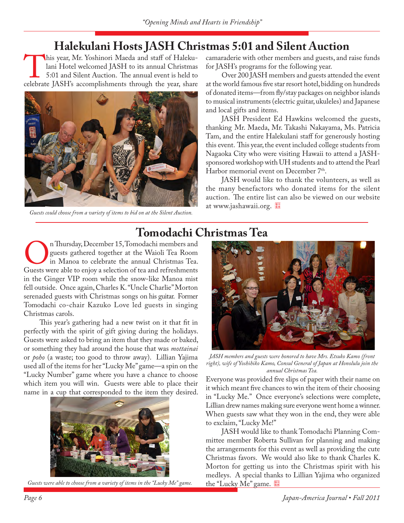## **Halekulani Hosts JASH Christmas 5:01 and Silent Auction**

his year, Mr. Yoshinori Maeda and staff of Halekulani Hotel welcomed JASH to its annual Christmas<br>5:01 and Silent Auction. The annual event is held to<br>celebrate JASH's accomplishments through the year, share lani Hotel welcomed JASH to its annual Christmas 5:01 and Silent Auction. The annual event is held to celebrate JASH's accomplishments through the year, share



*Guests could choose from a variety of items to bid on at the Silent Auction.*

camaraderie with other members and guests, and raise funds for JASH's programs for the following year.

Over 200 JASH members and guests attended the event at the world famous five star resort hotel, bidding on hundreds of donated items—from fly/stay packages on neighbor islands to musical instruments (electric guitar, ukuleles) and Japanese and local gifts and items.

JASH President Ed Hawkins welcomed the guests, thanking Mr. Maeda, Mr. Takashi Nakayama, Ms. Patricia Tam, and the entire Halekulani staff for generously hosting this event. This year, the event included college students from Nagaoka City who were visiting Hawaii to attend a JASHsponsored workshop with UH students and to attend the Pearl Harbor memorial event on December 7<sup>th</sup>.

JASH would like to thank the volunteers, as well as the many benefactors who donated items for the silent auction. The entire list can also be viewed on our website at www.jashawaii.org.

# **Tomodachi Christmas Tea**<br>
n Thursday, December 15, Tomodachi members and

Thursday, December 15, Tomodachi members and<br>guests gathered together at the Waioli Tea Room<br>in Manoa to celebrate the annual Christmas Tea.<br>Guests were able to enjoy a selection of tea and refreshments guests gathered together at the Waioli Tea Room in Manoa to celebrate the annual Christmas Tea. Guests were able to enjoy a selection of tea and refreshments in the Ginger VIP room while the snow-like Manoa mist fell outside. Once again, Charles K. "Uncle Charlie" Morton serenaded guests with Christmas songs on his guitar. Former Tomodachi co-chair Kazuko Love led guests in singing Christmas carols.

This year's gathering had a new twist on it that fit in perfectly with the spirit of gift giving during the holidays. Guests were asked to bring an item that they made or baked, or something they had around the house that was *mottainai*  or *poho* (a waste; too good to throw away). Lillian Yajima used all of the items for her "Lucky Me" game—a spin on the "Lucky Number" game where you have a chance to choose which item you will win. Guests were able to place their name in a cup that corresponded to the item they desired.



Guests were able to choose from a variety of items in the "Lucky Me" game.



*JASH members and guests were honored to have Mrs. Etsuko Kamo (front right), wife of Yoshihiko Kamo, Consul General of Japan at Honolulu join the annual Christmas Tea.*

Everyone was provided five slips of paper with their name on it which meant five chances to win the item of their choosing in "Lucky Me." Once everyone's selections were complete, Lillian drew names making sure everyone went home a winner. When guests saw what they won in the end, they were able to exclaim, "Lucky Me!"

JASH would like to thank Tomodachi Planning Committee member Roberta Sullivan for planning and making the arrangements for this event as well as providing the cute Christmas favors. We would also like to thank Charles K. Morton for getting us into the Christmas spirit with his medleys. A special thanks to Lillian Yajima who organized the "Lucky Me" game.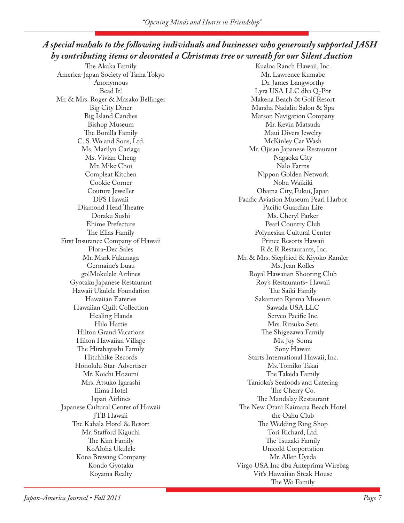### *A special mahalo to the following individuals and businesses who generously supported JASH by contributing items or decorated a Christmas tree or wreath for our Silent Auction*

The Akaka Family America-Japan Society of Tama Tokyo Anonymous Bead It! Mr. & Mrs. Roger & Masako Bellinger Big City Diner Big Island Candies Bishop Museum The Bonilla Family C. S. Wo and Sons, Ltd. Ms. Marilyn Cariaga Ms. Vivian Cheng Mr. Mike Choi Compleat Kitchen Cookie Corner Couture Jeweller DFS Hawaii Diamond Head Theatre Doraku Sushi Ehime Prefecture The Elias Family First Insurance Company of Hawaii Flora-Dec Sales Mr. Mark Fukunaga Germaine's Luau go!Mokulele Airlines Gyotaku Japanese Restaurant Hawaii Ukulele Foundation Hawaiian Eateries Hawaiian Quilt Collection Healing Hands Hilo Hattie Hilton Grand Vacations Hilton Hawaiian Village The Hirabayashi Family Hitchhike Records Honolulu Star-Advertiser Mr. Koichi Hozumi Mrs. Atsuko Igarashi Ilima Hotel Japan Airlines Japanese Cultural Center of Hawaii JTB Hawaii The Kahala Hotel & Resort Mr. Stafford Kiguchi The Kim Family KoAloha Ukulele Kona Brewing Company Kondo Gyotaku Koyama Realty

Kualoa Ranch Hawaii, Inc. Mr. Lawrence Kumabe Dr. James Langworthy Lyra USA LLC dba Q-Pot Makena Beach & Golf Resort Marsha Nadalin Salon & Spa Matson Navigation Company Mr. Kevin Matsuda Maui Divers Jewelry McKinley Car Wash Mr. Ojisan Japanese Restaurant Nagaoka City Nalo Farms Nippon Golden Network Nobu Waikiki Obama City, Fukui, Japan Pacific Aviation Museum Pearl Harbor Pacific Guardian Life Ms. Cheryl Parker Pearl Country Club Polynesian Cultural Center Prince Resorts Hawaii R & R Restaurants, Inc. Mr. & Mrs. Siegfried & Kiyoko Ramler Ms. Jean Rolles Royal Hawaiian Shooting Club Roy's Restaurants- Hawaii The Saiki Family Sakamoto Ryoma Museum Sawada USA LLC Servco Pacific Inc. Mrs. Ritsuko Seta The Shigezawa Family Ms. Joy Soma Sony Hawaii Starts International Hawaii, Inc. Ms. Tomiko Takai The Takeda Family Tanioka's Seafoods and Catering The Cherry Co. The Mandalay Restaurant The New Otani Kaimana Beach Hotel the Oahu Club The Wedding Ring Shop Tori Richard, Ltd. The Tsuzaki Family Unicold Corportation Mr. Allen Uyeda Virgo USA Inc dba Anteprima Wirebag Vit's Hawaiian Steak House The Wo Family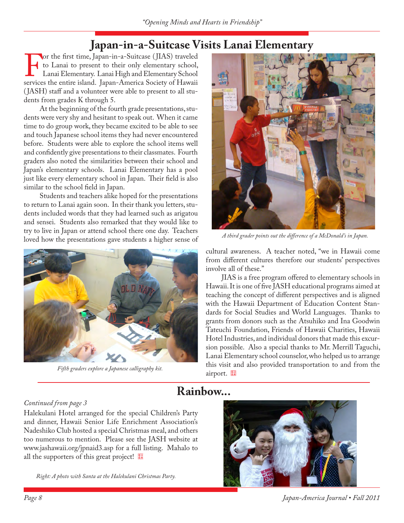## Japan-in-a-Suitcase Visits Lanai Elementary<br>**Nor the first time, Japan-in-a-Suitcase** (JIAS) traveled

For the first time, Japan-in-a-Suitcase (JIAS) traveled<br>to Lanai to present to their only elementary school,<br>Lanai Elementary. Lanai High and Elementary School<br>services the entire island. Japan-America Society of Hawaii to Lanai to present to their only elementary school, Lanai Elementary. Lanai High and Elementary School services the entire island. Japan-America Society of Hawaii ( JASH) staff and a volunteer were able to present to all students from grades K through 5.

At the beginning of the fourth grade presentations, students were very shy and hesitant to speak out. When it came time to do group work, they became excited to be able to see and touch Japanese school items they had never encountered before. Students were able to explore the school items well and confidently give presentations to their classmates. Fourth graders also noted the similarities between their school and Japan's elementary schools. Lanai Elementary has a pool just like every elementary school in Japan. Their field is also similar to the school field in Japan.

Students and teachers alike hoped for the presentations to return to Lanai again soon. In their thank you letters, students included words that they had learned such as arigatou and sensei. Students also remarked that they would like to try to live in Japan or attend school there one day. Teachers Loved how the presentations gave students a higher sense of *A third grader points out the difference of a McDonald's in Japan*.



Fifth graders explore a Japanese calligraphy kit.



cultural awareness. A teacher noted, "we in Hawaii come from different cultures therefore our students' perspectives involve all of these."

JIAS is a free program offered to elementary schools in Hawaii. It is one of five JASH educational programs aimed at teaching the concept of different perspectives and is aligned with the Hawaii Department of Education Content Standards for Social Studies and World Languages. Thanks to grants from donors such as the Atsuhiko and Ina Goodwin Tateuchi Foundation, Friends of Hawaii Charities, Hawaii Hotel Industries, and individual donors that made this excursion possible. Also a special thanks to Mr. Merrill Taguchi, Lanai Elementary school counselor, who helped us to arrange this visit and also provided transportation to and from the airport.

### **Rainbow...**

### *Continued from page 3*

Halekulani Hotel arranged for the special Children's Party and dinner, Hawaii Senior Life Enrichment Association's Nadeshiko Club hosted a special Christmas meal, and others too numerous to mention. Please see the JASH website at www.jashawaii.org/jpnaid3.asp for a full listing. Mahalo to all the supporters of this great project!

*Right: A photo with Santa at the Halekulani Christmas Party.*



*Page 8 Japan-America Journal • Fall 2011*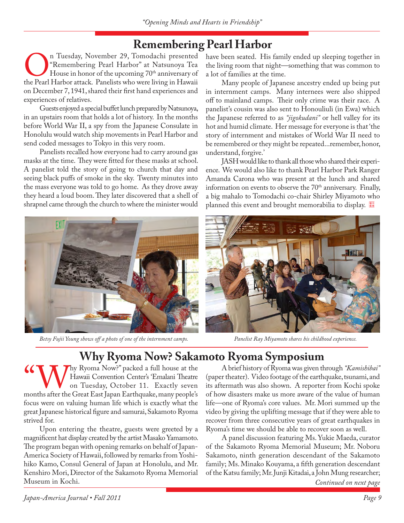## **Remembering Pearl Harbor**<br>n Tuesday, November 29, Tomodachi presented have been seated. His

**On Tuesday, November 29, Tomodachi presented**<br>
"Remembering Pearl Harbor" at Natsunoya Tea<br>
the Pearl Harbor attack. Panelists who were living in Hawaii "Remembering Pearl Harbor" at Natsunoya Tea House in honor of the upcoming 70<sup>th</sup> anniversary of on December 7, 1941, shared their first hand experiences and experiences of relatives.

Guests enjoyed a special buffet lunch prepared by Natsunoya, in an upstairs room that holds a lot of history. In the months before World War II, a spy from the Japanese Consulate in Honolulu would watch ship movements in Pearl Harbor and send coded messages to Tokyo in this very room.

Panelists recalled how everyone had to carry around gas masks at the time. They were fitted for these masks at school. A panelist told the story of going to church that day and seeing black puffs of smoke in the sky. Twenty minutes into the mass everyone was told to go home. As they drove away they heard a loud boom. They later discovered that a shell of shrapnel came through the church to where the minister would

have been seated. His family ended up sleeping together in the living room that night—something that was common to a lot of families at the time.

Many people of Japanese ancestry ended up being put in internment camps. Many internees were also shipped off to mainland camps. Their only crime was their race. A panelist's cousin was also sent to Honouliuli (in Ewa) which the Japanese referred to as *"jigokudani"* or hell valley for its hot and humid climate. Her message for everyone is that 'the story of internment and mistakes of World War II need to be remembered or they might be repeated...remember, honor, understand, forgive.'

JASH would like to thank all those who shared their experience. We would also like to thank Pearl Harbor Park Ranger Amanda Carona who was present at the lunch and shared information on events to observe the  $70<sup>th</sup>$  anniversary. Finally, a big mahalo to Tomodachi co-chair Shirley Miyamoto who planned this event and brought memorabilia to display.



*Betsy Fujii Young shows off a photo of one of the internment camps. Panelist Ray Miyamoto shares his childhood experience.*



## **Why Ryoma Now? Sakamoto Ryoma Symposium**

Why Ryoma Now?" packed a full house at the Hawaii Convention Center's 'Emalani Theatre<br>
on Tuesday, October 11. Exactly seven<br>
months after the Great East Japan Earthquake, many people's Hawaii Convention Center's 'Emalani Theatre on Tuesday, October 11. Exactly seven focus were on valuing human life which is exactly what the great Japanese historical figure and samurai, Sakamoto Ryoma strived for.

Upon entering the theatre, guests were greeted by a magnificent hat display created by the artist Masako Yamamoto. The program began with opening remarks on behalf of Japan-America Society of Hawaii, followed by remarks from Yoshihiko Kamo, Consul General of Japan at Honolulu, and Mr. Kenshiro Mori, Director of the Sakamoto Ryoma Memorial Museum in Kochi.

A brief history of Ryoma was given through *"Kamishibai"*  (paper theater). Video footage of the earthquake, tsunami, and its aftermath was also shown. A reporter from Kochi spoke of how disasters make us more aware of the value of human life—one of Ryoma's core values. Mr. Mori summed up the video by giving the uplifting message that if they were able to recover from three consecutive years of great earthquakes in Ryoma's time we should be able to recover soon as well.

A panel discussion featuring Ms. Yukie Maeda, curator of the Sakamoto Ryoma Memorial Museum; Mr. Noboru Sakamoto, ninth generation descendant of the Sakamoto family; Ms. Minako Kouyama, a fifth generation descendant of the Katsu family; Mr. Junji Kitadai, a John Mung researcher;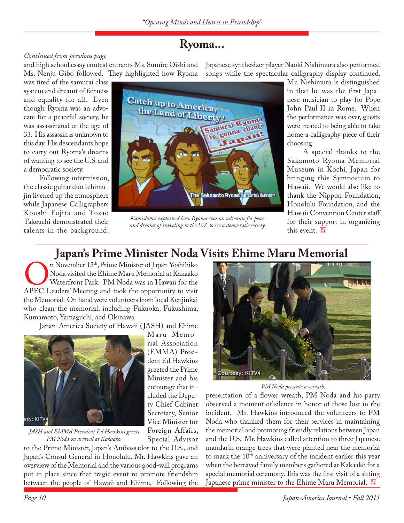### **Ryoma...**

### *Continued from previous page*

and high school essay contest entrants Ms. Sumire Oishi and Ms. Nenju Gibo followed. They highlighted how Ryoma

was tired of the samurai class system and dreamt of fairness and equality for all. Even though Ryoma was an advocate for a peaceful society, he was assassinated at the age of 33. His assassin is unknown to this day. His descendants hope to carry out Ryoma's dreams of wanting to see the U.S. and a democratic society.

Following intermission, the classic guitar duo Ichimujin livened up the atmosphere while Japanese Calligraphers Koushi Fujita and Tosao Takeuchi demonstrated their talents in the background. Japanese synthesizer player Naoki Nishimura also performed songs while the spectacular calligraphy display continued.



*Kamishibai explained how Ryoma was an advocate for peace and dreamt of traveling to the U.S. to see a democratic society.*

Mr. Nishimura is distinguished in that he was the first Japanese musician to play for Pope John Paul II in Rome. When the performance was over, guests were treated to being able to take home a calligraphy piece of their choosing.

A special thanks to the Sakamoto Ryoma Memorial Museum in Kochi, Japan for bringing this Symposium to Hawaii. We would also like to thank the Nippon Foundation, Honolulu Foundation, and the Hawaii Convention Center staff for their support in organizing this event.

## Japan's Prime Minister Noda Visits Ehime Maru Memorial

On November 12<sup>th</sup>, Prime Minister of Japan Yoshihiko<br>
Noda visited the Ehime Maru Memorial at Kakaako<br>
Waterfront Park. PM Noda was in Hawaii for the<br>
APEC Leaders' Meeting and took the opportunity to visit Noda visited the Ehime Maru Memorial at Kakaako Waterfront Park. PM Noda was in Hawaii for the the Memorial. On hand were volunteers from local Kenjinkai who clean the memorial, including Fukuoka, Fukushima, Kumamoto, Yamaguchi, and Okinawa.

Japan-America Society of Hawaii ( JASH) and Ehime



*JASH and EMMA President Ed Hawkins greets PM Noda on arrival at Kakaako.*

Maru Memorial Association (EMMA) President Ed Hawkins greeted the Prime Minister and his entourage that included the Deputy Chief Cabinet Secretary, Senior Vice Minister for Foreign Affairs,

Special Advisor

to the Prime Minister, Japan's Ambassador to the U.S., and Japan's Consul General in Honolulu. Mr. Hawkins gave an overview of the Memorial and the various good-will programs put in place since that tragic event to promote friendship between the people of Hawaii and Ehime. Following the



*PM Noda presents a wreath.*

presentation of a flower wreath, PM Noda and his party observed a moment of silence in honor of those lost in the incident. Mr. Hawkins introduced the volunteers to PM Noda who thanked them for their services in maintaining the memorial and promoting friendly relations between Japan and the U.S. Mr. Hawkins called attention to three Japanese mandarin orange trees that were planted near the memorial to mark the 10<sup>th</sup> anniversary of the incident earlier this year when the bereaved family members gathered at Kakaako for a special memorial ceremony. This was the first visit of a sitting Japanese prime minister to the Ehime Maru Memorial.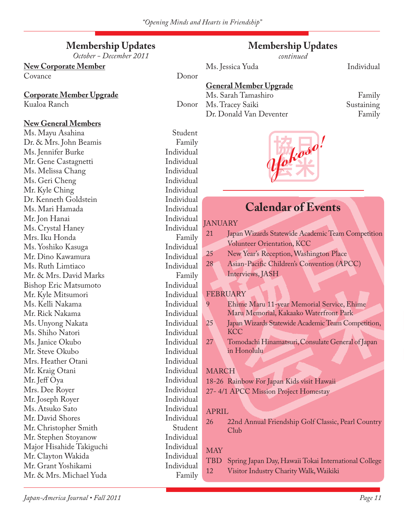### **Membership Updates**

*October - December 2011*

## **New Corporate Member**

Covance Donor

### **Corporate Member Upgrade**

Kualoa Ranch Donor

### **New General Members**

Ms. Mayu Asahina Student Dr. & Mrs. John Beamis Family Ms. Jennifer Burke Individual Mr. Gene Castagnetti Individual Ms. Melissa Chang Individual Ms. Geri Cheng Individual Mr. Kyle Ching Individual Dr. Kenneth Goldstein Individual Ms. Mari Hamada Individual Mr. Jon Hanai Individual Ms. Crystal Haney Individual Mrs. Iku Honda Family Ms. Yoshiko Kasuga Individual Mr. Dino Kawamura Individual Ms. Ruth Limtiaco Individual Mr. & Mrs. David Marks Family<br>Bishop Eric Matsumoto Family Bishop Eric Matsumoto Individual Mr. Kyle Mitsumori Individual Ms. Kelli Nakama Individual Mr. Rick Nakama Individual Ms. Unyong Nakata Individual Ms. Shiho Natori Individual Ms. Janice Okubo Individual Mr. Steve Okubo Individual Mrs. Heather Otani Individual Mr. Kraig Otani Individual Mr. Jeff Oya Individual Mrs. Dee Royer Individual Mr. Joseph Royer Individual Ms. Atsuko Sato Individual Mr. David Shores Individual<br>Mr. Christopher Smith Student Mr. Christopher Smith Student<br>Mr. Stephen Stovanow Mr. Individual Mr. Stephen Stoyanow Individual Major Hisahide Takiguchi Individual Mr. Clayton Wakida Individual Mr. Grant Yoshikami Mr. & Mrs. Michael Yuda Family

### **Membership Updates**

*continued*

Ms. Jessica Yuda **Individual** 

### **General Member Upgrade**

Ms. Sarah Tamashiro Family Ms. Tracey Saiki Sustaining Dr. Donald Van Deventer Family



### **Calendar of Events**

### **JANUARY**

| 21 | Japan Wizards Statewide Academic Team Competition |
|----|---------------------------------------------------|
|    | <b>Volunteer Orientation, KCC</b>                 |
| 25 | New Year's Reception, Washington Place            |
| 28 | Asian-Pacific Children's Convention (APCC)        |
|    | Interviews, JASH                                  |
|    |                                                   |

### **FEBRUARY**

9 Ehime Maru 11-year Memorial Service, Ehime Maru Memorial, Kakaako Waterfront Park

- 25 Japan Wizards Statewide Academic Team Competition, **KCC**
- 27 Tomodachi Hinamatsuri, Consulate General of Japan in Honolulu

### MARCH

18-26 Rainbow For Japan Kids visit Hawaii 27- 4/1 APCC Mission Project Homestay

### APRIL

26 22nd Annual Friendship Golf Classic, Pearl Country Club

### MAY

## TBD Spring Japan Day, Hawaii Tokai International College

12 Visitor Industry Charity Walk, Waikiki